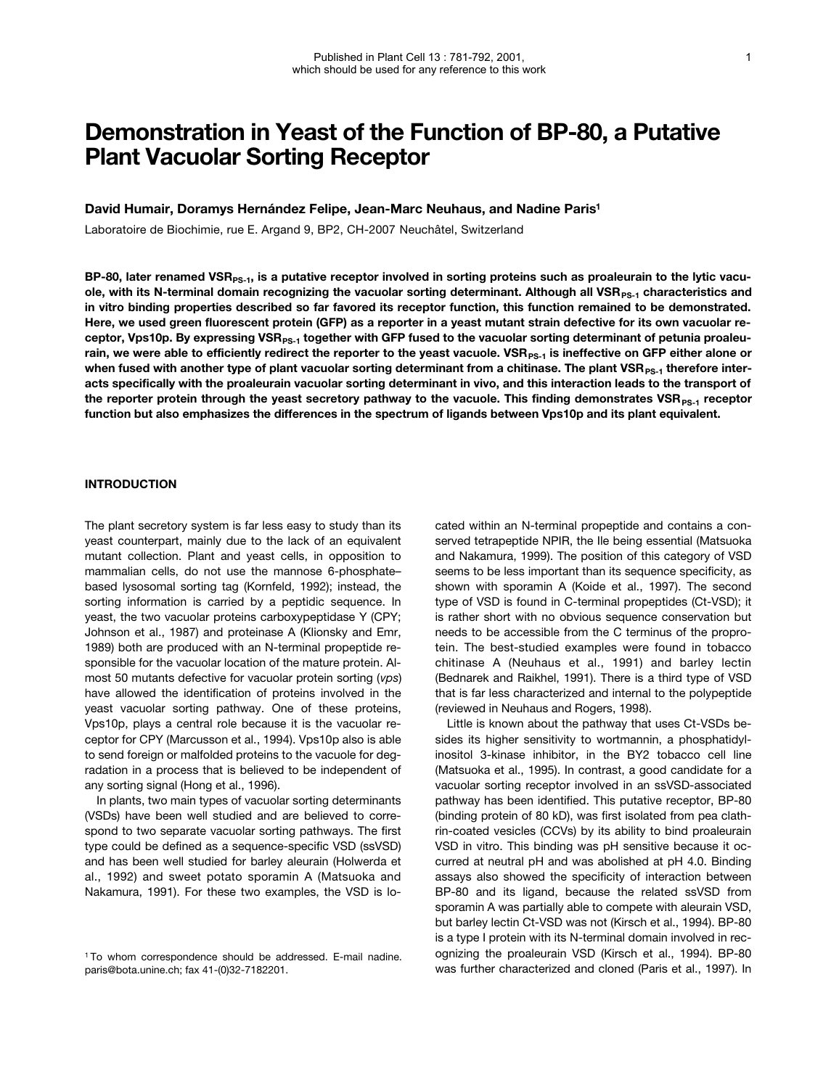# **Demonstration in Yeast of the Function of BP-80, a Putative Plant Vacuolar Sorting Receptor**

#### **David Humair, Doramys Hernández Felipe, Jean-Marc Neuhaus, and Nadine Paris1**

Laboratoire de Biochimie, rue E. Argand 9, BP2, CH-2007 Neuchâtel, Switzerland

BP-80, later renamed VSR<sub>PS-1</sub>, is a putative receptor involved in sorting proteins such as proaleurain to the lytic vacuole, with its N-terminal domain recognizing the vacuolar sorting determinant. Although all VSR<sub>PS-1</sub> characteristics and **in vitro binding properties described so far favored its receptor function, this function remained to be demonstrated. Here, we used green fluorescent protein (GFP) as a reporter in a yeast mutant strain defective for its own vacuolar re**ceptor, Vps10p. By expressing VSR<sub>PS-1</sub> together with GFP fused to the vacuolar sorting determinant of petunia proaleurain, we were able to efficiently redirect the reporter to the yeast vacuole. VSR<sub>PS-1</sub> is ineffective on GFP either alone or when fused with another type of plant vacuolar sorting determinant from a chitinase. The plant VSR<sub>PS-1</sub> therefore inter**acts specifically with the proaleurain vacuolar sorting determinant in vivo, and this interaction leads to the transport of** the reporter protein through the yeast secretory pathway to the vacuole. This finding demonstrates VSR<sub>PS-1</sub> receptor **function but also emphasizes the differences in the spectrum of ligands between Vps10p and its plant equivalent.**

### **INTRODUCTION**

The plant secretory system is far less easy to study than its yeast counterpart, mainly due to the lack of an equivalent mutant collection. Plant and yeast cells, in opposition to mammalian cells, do not use the mannose 6-phosphate– based lysosomal sorting tag (Kornfeld, 1992); instead, the sorting information is carried by a peptidic sequence. In yeast, the two vacuolar proteins carboxypeptidase Y (CPY; Johnson et al., 1987) and proteinase A (Klionsky and Emr, 1989) both are produced with an N-terminal propeptide responsible for the vacuolar location of the mature protein. Almost 50 mutants defective for vacuolar protein sorting (*vps*) have allowed the identification of proteins involved in the yeast vacuolar sorting pathway. One of these proteins, Vps10p, plays a central role because it is the vacuolar receptor for CPY (Marcusson et al., 1994). Vps10p also is able to send foreign or malfolded proteins to the vacuole for degradation in a process that is believed to be independent of any sorting signal (Hong et al., 1996).

In plants, two main types of vacuolar sorting determinants (VSDs) have been well studied and are believed to correspond to two separate vacuolar sorting pathways. The first type could be defined as a sequence-specific VSD (ssVSD) and has been well studied for barley aleurain (Holwerda et al., 1992) and sweet potato sporamin A (Matsuoka and Nakamura, 1991). For these two examples, the VSD is located within an N-terminal propeptide and contains a conserved tetrapeptide NPIR, the Ile being essential (Matsuoka and Nakamura, 1999). The position of this category of VSD seems to be less important than its sequence specificity, as shown with sporamin A (Koide et al., 1997). The second type of VSD is found in C-terminal propeptides (Ct-VSD); it is rather short with no obvious sequence conservation but needs to be accessible from the C terminus of the proprotein. The best-studied examples were found in tobacco chitinase A (Neuhaus et al., 1991) and barley lectin (Bednarek and Raikhel, 1991). There is a third type of VSD that is far less characterized and internal to the polypeptide (reviewed in Neuhaus and Rogers, 1998).

Little is known about the pathway that uses Ct-VSDs besides its higher sensitivity to wortmannin, a phosphatidylinositol 3-kinase inhibitor, in the BY2 tobacco cell line (Matsuoka et al., 1995). In contrast, a good candidate for a vacuolar sorting receptor involved in an ssVSD-associated pathway has been identified. This putative receptor, BP-80 (binding protein of 80 kD), was first isolated from pea clathrin-coated vesicles (CCVs) by its ability to bind proaleurain VSD in vitro. This binding was pH sensitive because it occurred at neutral pH and was abolished at pH 4.0. Binding assays also showed the specificity of interaction between BP-80 and its ligand, because the related ssVSD from sporamin A was partially able to compete with aleurain VSD, but barley lectin Ct-VSD was not (Kirsch et al., 1994). BP-80 is a type I protein with its N-terminal domain involved in recognizing the proaleurain VSD (Kirsch et al., 1994). BP-80 was further characterized and cloned (Paris et al., 1997). In

<sup>1</sup> To whom correspondence should be addressed. E-mail nadine. paris@bota.unine.ch; fax 41-(0)32-7182201.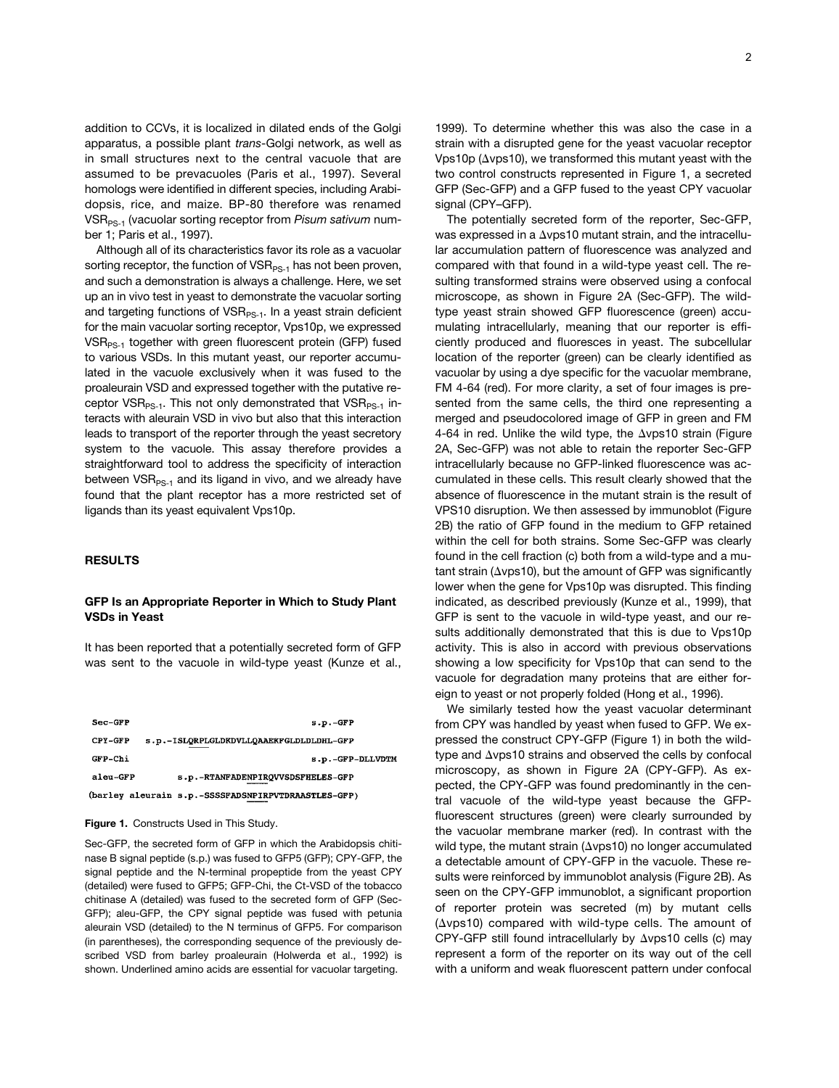addition to CCVs, it is localized in dilated ends of the Golgi apparatus, a possible plant *trans*-Golgi network, as well as in small structures next to the central vacuole that are assumed to be prevacuoles (Paris et al., 1997). Several homologs were identified in different species, including Arabidopsis, rice, and maize. BP-80 therefore was renamed VSR<sub>PS-1</sub> (vacuolar sorting receptor from *Pisum sativum* number 1; Paris et al., 1997).

Although all of its characteristics favor its role as a vacuolar sorting receptor, the function of  $VSR_{PS-1}$  has not been proven, and such a demonstration is always a challenge. Here, we set up an in vivo test in yeast to demonstrate the vacuolar sorting and targeting functions of  $VSR_{PS-1}$ . In a yeast strain deficient for the main vacuolar sorting receptor, Vps10p, we expressed VSR<sub>PS-1</sub> together with green fluorescent protein (GFP) fused to various VSDs. In this mutant yeast, our reporter accumulated in the vacuole exclusively when it was fused to the proaleurain VSD and expressed together with the putative receptor VSR<sub>PS-1</sub>. This not only demonstrated that VSR<sub>PS-1</sub> interacts with aleurain VSD in vivo but also that this interaction leads to transport of the reporter through the yeast secretory system to the vacuole. This assay therefore provides a straightforward tool to address the specificity of interaction between  $VSR_{PS-1}$  and its ligand in vivo, and we already have found that the plant receptor has a more restricted set of ligands than its yeast equivalent Vps10p.

## **RESULTS**

## **GFP Is an Appropriate Reporter in Which to Study Plant VSDs in Yeast**

It has been reported that a potentially secreted form of GFP was sent to the vacuole in wild-type yeast (Kunze et al.,

| Sec-GFP  | $s.p.-GFP$                                          |
|----------|-----------------------------------------------------|
| CPY-GFP  | s.p.-ISLORPLGLDKDVLLOAAEKFGLDLDLDHL-GFP             |
| GFP-Chi  | s.p.-GFP-DLLVDTM                                    |
| aleu-GFP | s.p.-RTANFADENPIRQVVSDSFHELES-GFP                   |
|          | (barley aleurain s.p.-SSSSFADSNPIRPVTDRAASTLES-GFP) |

#### **Figure 1.** Constructs Used in This Study.

Sec-GFP, the secreted form of GFP in which the Arabidopsis chitinase B signal peptide (s.p.) was fused to GFP5 (GFP); CPY-GFP, the signal peptide and the N-terminal propeptide from the yeast CPY (detailed) were fused to GFP5; GFP-Chi, the Ct-VSD of the tobacco chitinase A (detailed) was fused to the secreted form of GFP (Sec-GFP); aleu-GFP, the CPY signal peptide was fused with petunia aleurain VSD (detailed) to the N terminus of GFP5. For comparison (in parentheses), the corresponding sequence of the previously described VSD from barley proaleurain (Holwerda et al., 1992) is shown. Underlined amino acids are essential for vacuolar targeting.

1999). To determine whether this was also the case in a strain with a disrupted gene for the yeast vacuolar receptor Vps10p ( $\Delta v$ ps10), we transformed this mutant yeast with the two control constructs represented in Figure 1, a secreted GFP (Sec-GFP) and a GFP fused to the yeast CPY vacuolar signal (CPY–GFP).

The potentially secreted form of the reporter, Sec-GFP, was expressed in a  $\Delta v$ ps10 mutant strain, and the intracellular accumulation pattern of fluorescence was analyzed and compared with that found in a wild-type yeast cell. The resulting transformed strains were observed using a confocal microscope, as shown in Figure 2A (Sec-GFP). The wildtype yeast strain showed GFP fluorescence (green) accumulating intracellularly, meaning that our reporter is efficiently produced and fluoresces in yeast. The subcellular location of the reporter (green) can be clearly identified as vacuolar by using a dye specific for the vacuolar membrane, FM 4-64 (red). For more clarity, a set of four images is presented from the same cells, the third one representing a merged and pseudocolored image of GFP in green and FM 4-64 in red. Unlike the wild type, the  $\Delta v$ ps10 strain (Figure 2A, Sec-GFP) was not able to retain the reporter Sec-GFP intracellularly because no GFP-linked fluorescence was accumulated in these cells. This result clearly showed that the absence of fluorescence in the mutant strain is the result of VPS10 disruption. We then assessed by immunoblot (Figure 2B) the ratio of GFP found in the medium to GFP retained within the cell for both strains. Some Sec-GFP was clearly found in the cell fraction (c) both from a wild-type and a mu $tant strain ( $\Delta vps10$ ), but the amount of GFP was significantly$ lower when the gene for Vps10p was disrupted. This finding indicated, as described previously (Kunze et al., 1999), that GFP is sent to the vacuole in wild-type yeast, and our results additionally demonstrated that this is due to Vps10p activity. This is also in accord with previous observations showing a low specificity for Vps10p that can send to the vacuole for degradation many proteins that are either foreign to yeast or not properly folded (Hong et al., 1996).

We similarly tested how the yeast vacuolar determinant from CPY was handled by yeast when fused to GFP. We expressed the construct CPY-GFP (Figure 1) in both the wildtype and  $\Delta v$ ps10 strains and observed the cells by confocal microscopy, as shown in Figure 2A (CPY-GFP). As expected, the CPY-GFP was found predominantly in the central vacuole of the wild-type yeast because the GFPfluorescent structures (green) were clearly surrounded by the vacuolar membrane marker (red). In contrast with the wild type, the mutant strain ( $\Delta v$ ps10) no longer accumulated a detectable amount of CPY-GFP in the vacuole. These results were reinforced by immunoblot analysis (Figure 2B). As seen on the CPY-GFP immunoblot, a significant proportion of reporter protein was secreted (m) by mutant cells  $(\Delta vps10)$  compared with wild-type cells. The amount of CPY-GFP still found intracellularly by  $\Delta v$ ps10 cells (c) may represent a form of the reporter on its way out of the cell with a uniform and weak fluorescent pattern under confocal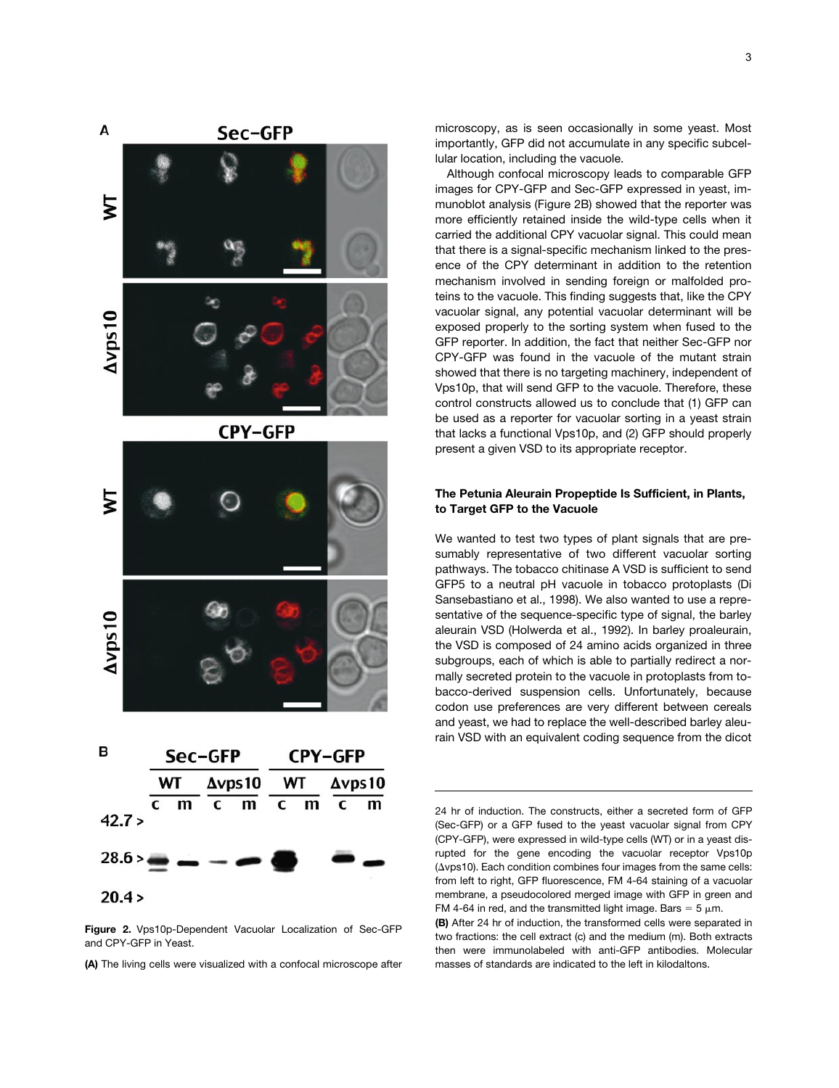

**Figure 2.** Vps10p-Dependent Vacuolar Localization of Sec-GFP and CPY-GFP in Yeast.

**(A)** The living cells were visualized with a confocal microscope after

microscopy, as is seen occasionally in some yeast. Most importantly, GFP did not accumulate in any specific subcellular location, including the vacuole.

Although confocal microscopy leads to comparable GFP images for CPY-GFP and Sec-GFP expressed in yeast, immunoblot analysis (Figure 2B) showed that the reporter was more efficiently retained inside the wild-type cells when it carried the additional CPY vacuolar signal. This could mean that there is a signal-specific mechanism linked to the presence of the CPY determinant in addition to the retention mechanism involved in sending foreign or malfolded proteins to the vacuole. This finding suggests that, like the CPY vacuolar signal, any potential vacuolar determinant will be exposed properly to the sorting system when fused to the GFP reporter. In addition, the fact that neither Sec-GFP nor CPY-GFP was found in the vacuole of the mutant strain showed that there is no targeting machinery, independent of Vps10p, that will send GFP to the vacuole. Therefore, these control constructs allowed us to conclude that (1) GFP can be used as a reporter for vacuolar sorting in a yeast strain that lacks a functional Vps10p, and (2) GFP should properly present a given VSD to its appropriate receptor.

# **The Petunia Aleurain Propeptide Is Sufficient, in Plants, to Target GFP to the Vacuole**

We wanted to test two types of plant signals that are presumably representative of two different vacuolar sorting pathways. The tobacco chitinase A VSD is sufficient to send GFP5 to a neutral pH vacuole in tobacco protoplasts (Di Sansebastiano et al., 1998). We also wanted to use a representative of the sequence-specific type of signal, the barley aleurain VSD (Holwerda et al., 1992). In barley proaleurain, the VSD is composed of 24 amino acids organized in three subgroups, each of which is able to partially redirect a normally secreted protein to the vacuole in protoplasts from tobacco-derived suspension cells. Unfortunately, because codon use preferences are very different between cereals and yeast, we had to replace the well-described barley aleurain VSD with an equivalent coding sequence from the dicot

24 hr of induction. The constructs, either a secreted form of GFP (Sec-GFP) or a GFP fused to the yeast vacuolar signal from CPY (CPY-GFP), were expressed in wild-type cells (WT) or in a yeast disrupted for the gene encoding the vacuolar receptor Vps10p  $(\Delta vps10)$ . Each condition combines four images from the same cells: from left to right, GFP fluorescence, FM 4-64 staining of a vacuolar membrane, a pseudocolored merged image with GFP in green and FM 4-64 in red, and the transmitted light image. Bars =  $5 \mu m$ .

**(B)** After 24 hr of induction, the transformed cells were separated in two fractions: the cell extract (c) and the medium (m). Both extracts then were immunolabeled with anti-GFP antibodies. Molecular masses of standards are indicated to the left in kilodaltons.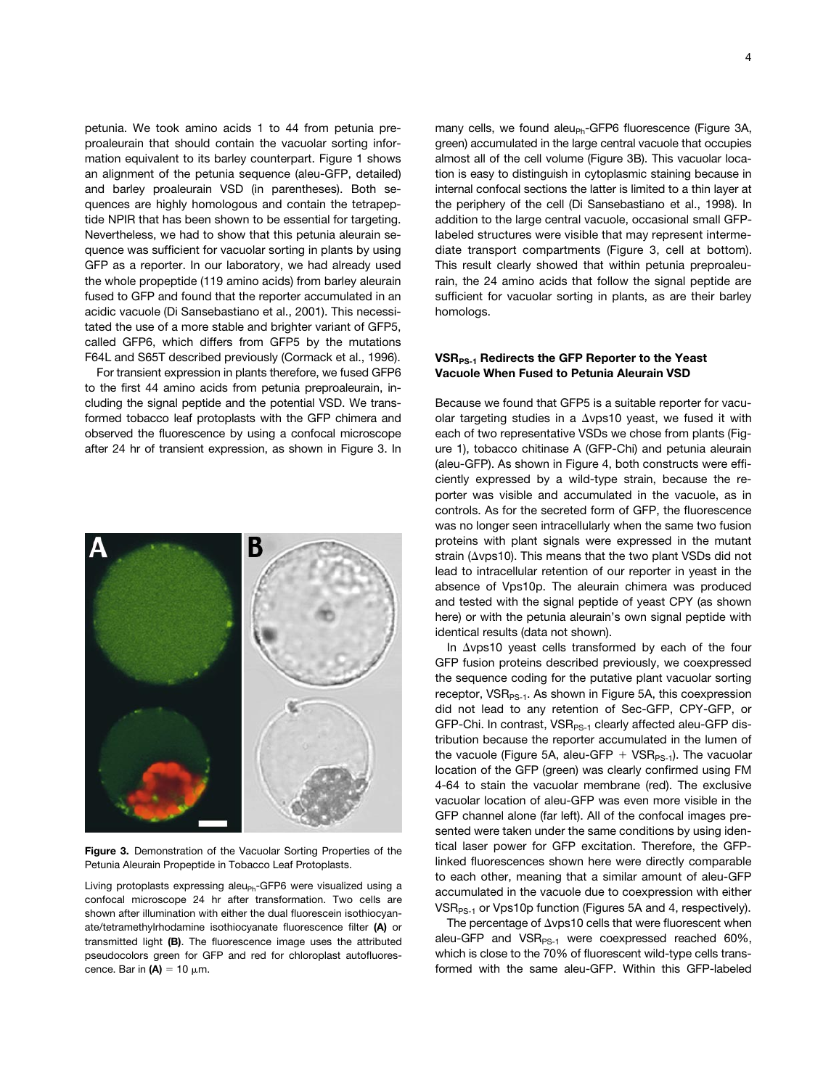petunia. We took amino acids 1 to 44 from petunia preproaleurain that should contain the vacuolar sorting information equivalent to its barley counterpart. Figure 1 shows an alignment of the petunia sequence (aleu-GFP, detailed) and barley proaleurain VSD (in parentheses). Both sequences are highly homologous and contain the tetrapeptide NPIR that has been shown to be essential for targeting. Nevertheless, we had to show that this petunia aleurain sequence was sufficient for vacuolar sorting in plants by using GFP as a reporter. In our laboratory, we had already used the whole propeptide (119 amino acids) from barley aleurain fused to GFP and found that the reporter accumulated in an acidic vacuole (Di Sansebastiano et al., 2001). This necessitated the use of a more stable and brighter variant of GFP5, called GFP6, which differs from GFP5 by the mutations F64L and S65T described previously (Cormack et al., 1996).

For transient expression in plants therefore, we fused GFP6 to the first 44 amino acids from petunia preproaleurain, including the signal peptide and the potential VSD. We transformed tobacco leaf protoplasts with the GFP chimera and observed the fluorescence by using a confocal microscope after 24 hr of transient expression, as shown in Figure 3. In



**Figure 3.** Demonstration of the Vacuolar Sorting Properties of the Petunia Aleurain Propeptide in Tobacco Leaf Protoplasts.

Living protoplasts expressing aleu $_{\text{Ph}}$ -GFP6 were visualized using a confocal microscope 24 hr after transformation. Two cells are shown after illumination with either the dual fluorescein isothiocyanate/tetramethylrhodamine isothiocyanate fluorescence filter **(A)** or transmitted light **(B)**. The fluorescence image uses the attributed pseudocolors green for GFP and red for chloroplast autofluorescence. Bar in  $(A) = 10 \mu m$ .

many cells, we found aleu<sub>Ph</sub>-GFP6 fluorescence (Figure 3A, green) accumulated in the large central vacuole that occupies almost all of the cell volume (Figure 3B). This vacuolar location is easy to distinguish in cytoplasmic staining because in internal confocal sections the latter is limited to a thin layer at the periphery of the cell (Di Sansebastiano et al., 1998). In addition to the large central vacuole, occasional small GFPlabeled structures were visible that may represent intermediate transport compartments (Figure 3, cell at bottom). This result clearly showed that within petunia preproaleurain, the 24 amino acids that follow the signal peptide are sufficient for vacuolar sorting in plants, as are their barley homologs.

# VSR<sub>PS-1</sub> Redirects the GFP Reporter to the Yeast **Vacuole When Fused to Petunia Aleurain VSD**

Because we found that GFP5 is a suitable reporter for vacuolar targeting studies in a  $\Delta v$ ps10 yeast, we fused it with each of two representative VSDs we chose from plants (Figure 1), tobacco chitinase A (GFP-Chi) and petunia aleurain (aleu-GFP). As shown in Figure 4, both constructs were efficiently expressed by a wild-type strain, because the reporter was visible and accumulated in the vacuole, as in controls. As for the secreted form of GFP, the fluorescence was no longer seen intracellularly when the same two fusion proteins with plant signals were expressed in the mutant strain ( $\Delta v$ ps10). This means that the two plant VSDs did not lead to intracellular retention of our reporter in yeast in the absence of Vps10p. The aleurain chimera was produced and tested with the signal peptide of yeast CPY (as shown here) or with the petunia aleurain's own signal peptide with identical results (data not shown).

In  $\Delta v$ ps10 yeast cells transformed by each of the four GFP fusion proteins described previously, we coexpressed the sequence coding for the putative plant vacuolar sorting receptor,  $VSR_{PS-1}$ . As shown in Figure 5A, this coexpression did not lead to any retention of Sec-GFP, CPY-GFP, or GFP-Chi. In contrast, VSR<sub>PS-1</sub> clearly affected aleu-GFP distribution because the reporter accumulated in the lumen of the vacuole (Figure 5A, aleu-GFP  $+$  VSR<sub>PS-1</sub>). The vacuolar location of the GFP (green) was clearly confirmed using FM 4-64 to stain the vacuolar membrane (red). The exclusive vacuolar location of aleu-GFP was even more visible in the GFP channel alone (far left). All of the confocal images presented were taken under the same conditions by using identical laser power for GFP excitation. Therefore, the GFPlinked fluorescences shown here were directly comparable to each other, meaning that a similar amount of aleu-GFP accumulated in the vacuole due to coexpression with either VSR<sub>PS-1</sub> or Vps10p function (Figures 5A and 4, respectively).

The percentage of  $\Delta v$ ps10 cells that were fluorescent when aleu-GFP and VSR<sub>PS-1</sub> were coexpressed reached 60%, which is close to the 70% of fluorescent wild-type cells transformed with the same aleu-GFP. Within this GFP-labeled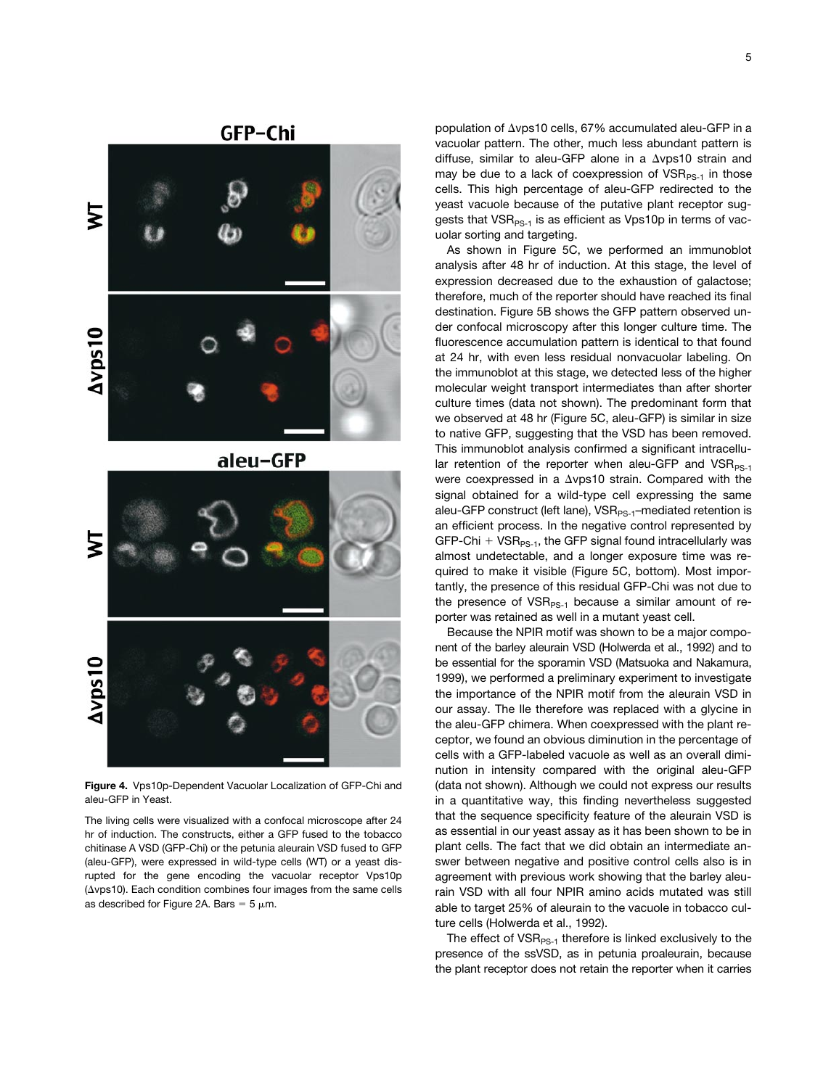



**Figure 4.** Vps10p-Dependent Vacuolar Localization of GFP-Chi and aleu-GFP in Yeast.

The living cells were visualized with a confocal microscope after 24 hr of induction. The constructs, either a GFP fused to the tobacco chitinase A VSD (GFP-Chi) or the petunia aleurain VSD fused to GFP (aleu-GFP), were expressed in wild-type cells (WT) or a yeast disrupted for the gene encoding the vacuolar receptor Vps10p  $(\Delta vps10)$ . Each condition combines four images from the same cells as described for Figure 2A. Bars =  $5 \mu m$ .

population of  $\Delta v$ ps10 cells, 67% accumulated aleu-GFP in a vacuolar pattern. The other, much less abundant pattern is diffuse, similar to aleu-GFP alone in a  $\Delta v$ ps10 strain and may be due to a lack of coexpression of  $VSR_{PS-1}$  in those cells. This high percentage of aleu-GFP redirected to the yeast vacuole because of the putative plant receptor suggests that  $VSR_{PS-1}$  is as efficient as Vps10p in terms of vacuolar sorting and targeting.

As shown in Figure 5C, we performed an immunoblot analysis after 48 hr of induction. At this stage, the level of expression decreased due to the exhaustion of galactose; therefore, much of the reporter should have reached its final destination. Figure 5B shows the GFP pattern observed under confocal microscopy after this longer culture time. The fluorescence accumulation pattern is identical to that found at 24 hr, with even less residual nonvacuolar labeling. On the immunoblot at this stage, we detected less of the higher molecular weight transport intermediates than after shorter culture times (data not shown). The predominant form that we observed at 48 hr (Figure 5C, aleu-GFP) is similar in size to native GFP, suggesting that the VSD has been removed. This immunoblot analysis confirmed a significant intracellular retention of the reporter when aleu-GFP and  $VSR_{PS-1}$ were coexpressed in a  $\Delta v$ ps10 strain. Compared with the signal obtained for a wild-type cell expressing the same aleu-GFP construct (left lane),  $VSR_{PS-1}$ –mediated retention is an efficient process. In the negative control represented by GFP-Chi  $+$  VSR<sub>PS-1</sub>, the GFP signal found intracellularly was almost undetectable, and a longer exposure time was required to make it visible (Figure 5C, bottom). Most importantly, the presence of this residual GFP-Chi was not due to the presence of  $VSR_{PS-1}$  because a similar amount of reporter was retained as well in a mutant yeast cell.

Because the NPIR motif was shown to be a major component of the barley aleurain VSD (Holwerda et al., 1992) and to be essential for the sporamin VSD (Matsuoka and Nakamura, 1999), we performed a preliminary experiment to investigate the importance of the NPIR motif from the aleurain VSD in our assay. The Ile therefore was replaced with a glycine in the aleu-GFP chimera. When coexpressed with the plant receptor, we found an obvious diminution in the percentage of cells with a GFP-labeled vacuole as well as an overall diminution in intensity compared with the original aleu-GFP (data not shown). Although we could not express our results in a quantitative way, this finding nevertheless suggested that the sequence specificity feature of the aleurain VSD is as essential in our yeast assay as it has been shown to be in plant cells. The fact that we did obtain an intermediate answer between negative and positive control cells also is in agreement with previous work showing that the barley aleurain VSD with all four NPIR amino acids mutated was still able to target 25% of aleurain to the vacuole in tobacco culture cells (Holwerda et al., 1992).

The effect of  $VSR_{PS-1}$  therefore is linked exclusively to the presence of the ssVSD, as in petunia proaleurain, because the plant receptor does not retain the reporter when it carries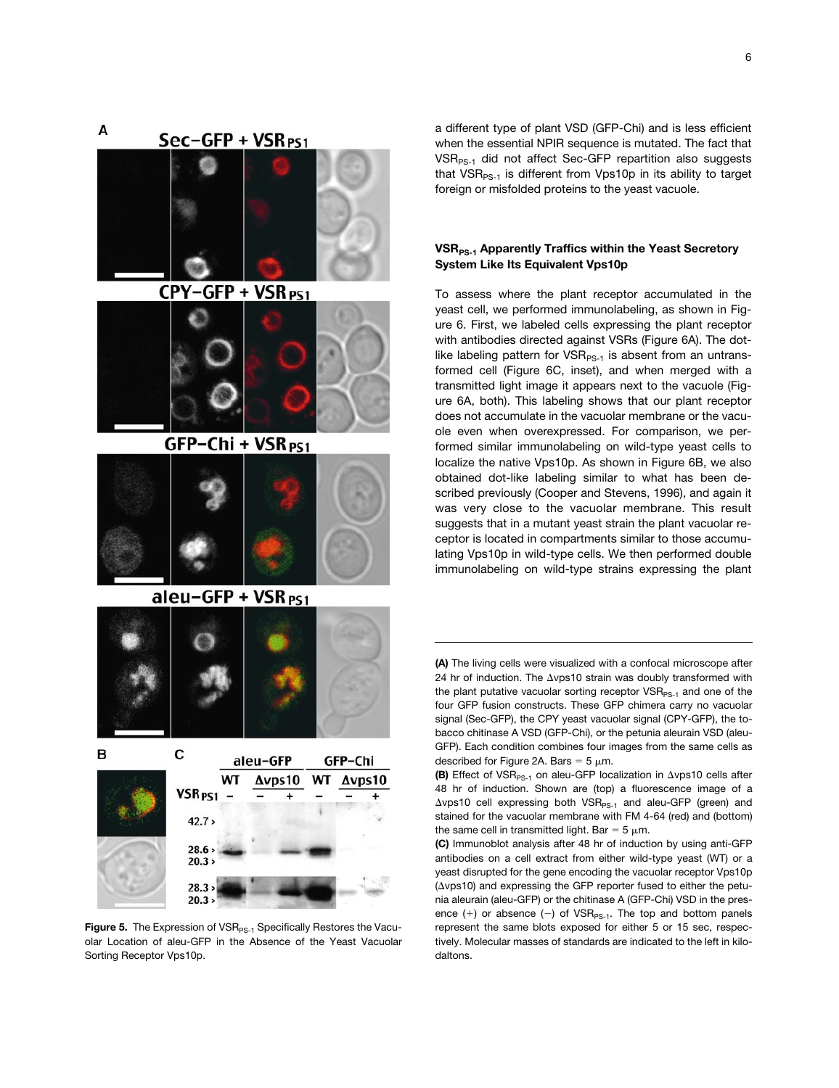Sec-GFP + VSR<sub>PS1</sub>



CPY-GFP + VSR<sub>PS1</sub>



GFP-Chi + VSR<sub>PS1</sub>



aleu-GFP + VSR<sub>PS1</sub>





Figure 5. The Expression of VSR<sub>PS-1</sub> Specifically Restores the Vacuolar Location of aleu-GFP in the Absence of the Yeast Vacuolar Sorting Receptor Vps10p.

a different type of plant VSD (GFP-Chi) and is less efficient when the essential NPIR sequence is mutated. The fact that VSR<sub>PS-1</sub> did not affect Sec-GFP repartition also suggests that  $VSR_{PS-1}$  is different from Vps10p in its ability to target foreign or misfolded proteins to the yeast vacuole.

# **VSR<sub>PS-1</sub> Apparently Traffics within the Yeast Secretory System Like Its Equivalent Vps10p**

To assess where the plant receptor accumulated in the yeast cell, we performed immunolabeling, as shown in Figure 6. First, we labeled cells expressing the plant receptor with antibodies directed against VSRs (Figure 6A). The dotlike labeling pattern for  $VSR_{PS-1}$  is absent from an untransformed cell (Figure 6C, inset), and when merged with a transmitted light image it appears next to the vacuole (Figure 6A, both). This labeling shows that our plant receptor does not accumulate in the vacuolar membrane or the vacuole even when overexpressed. For comparison, we performed similar immunolabeling on wild-type yeast cells to localize the native Vps10p. As shown in Figure 6B, we also obtained dot-like labeling similar to what has been described previously (Cooper and Stevens, 1996), and again it was very close to the vacuolar membrane. This result suggests that in a mutant yeast strain the plant vacuolar receptor is located in compartments similar to those accumulating Vps10p in wild-type cells. We then performed double immunolabeling on wild-type strains expressing the plant

**(A)** The living cells were visualized with a confocal microscope after 24 hr of induction. The  $\Delta v$ ps10 strain was doubly transformed with the plant putative vacuolar sorting receptor  $VSR_{PS-1}$  and one of the four GFP fusion constructs. These GFP chimera carry no vacuolar signal (Sec-GFP), the CPY yeast vacuolar signal (CPY-GFP), the tobacco chitinase A VSD (GFP-Chi), or the petunia aleurain VSD (aleu-GFP). Each condition combines four images from the same cells as described for Figure 2A. Bars =  $5 \mu m$ .

**(B)** Effect of VSR<sub>PS-1</sub> on aleu-GFP localization in  $\Delta$ vps10 cells after 48 hr of induction. Shown are (top) a fluorescence image of a  $\Delta v$ ps10 cell expressing both VSR<sub>PS-1</sub> and aleu-GFP (green) and stained for the vacuolar membrane with FM 4-64 (red) and (bottom) the same cell in transmitted light. Bar =  $5 \mu m$ .

**(C)** Immunoblot analysis after 48 hr of induction by using anti-GFP antibodies on a cell extract from either wild-type yeast (WT) or a yeast disrupted for the gene encoding the vacuolar receptor Vps10p  $(\Delta vps10)$  and expressing the GFP reporter fused to either the petunia aleurain (aleu-GFP) or the chitinase A (GFP-Chi) VSD in the presence  $(+)$  or absence  $(-)$  of VSR<sub>PS-1</sub>. The top and bottom panels represent the same blots exposed for either 5 or 15 sec, respectively. Molecular masses of standards are indicated to the left in kilodaltons.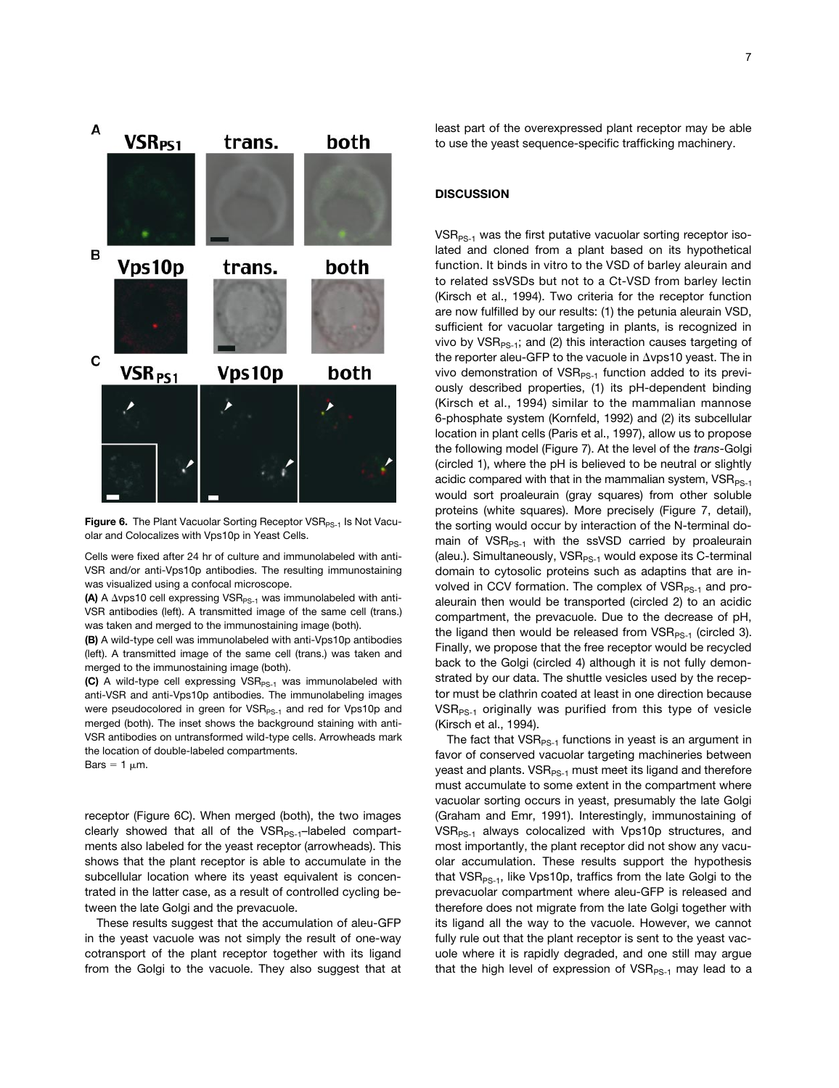

Figure 6. The Plant Vacuolar Sorting Receptor VSR<sub>PS-1</sub> Is Not Vacuolar and Colocalizes with Vps10p in Yeast Cells.

Cells were fixed after 24 hr of culture and immunolabeled with anti-VSR and/or anti-Vps10p antibodies. The resulting immunostaining was visualized using a confocal microscope.

**(A)** A  $\Delta$ vps10 cell expressing VSR<sub>PS-1</sub> was immunolabeled with anti-VSR antibodies (left). A transmitted image of the same cell (trans.) was taken and merged to the immunostaining image (both).

**(B)** A wild-type cell was immunolabeled with anti-Vps10p antibodies (left). A transmitted image of the same cell (trans.) was taken and merged to the immunostaining image (both).

**(C)** A wild-type cell expressing VSR<sub>PS-1</sub> was immunolabeled with anti-VSR and anti-Vps10p antibodies. The immunolabeling images were pseudocolored in green for VSR<sub>PS-1</sub> and red for Vps10p and merged (both). The inset shows the background staining with anti-VSR antibodies on untransformed wild-type cells. Arrowheads mark the location of double-labeled compartments.

Bars =  $1 \mu m$ .

receptor (Figure 6C). When merged (both), the two images clearly showed that all of the  $VSR_{PS-1}$ -labeled compartments also labeled for the yeast receptor (arrowheads). This shows that the plant receptor is able to accumulate in the subcellular location where its yeast equivalent is concentrated in the latter case, as a result of controlled cycling between the late Golgi and the prevacuole.

These results suggest that the accumulation of aleu-GFP in the yeast vacuole was not simply the result of one-way cotransport of the plant receptor together with its ligand from the Golgi to the vacuole. They also suggest that at least part of the overexpressed plant receptor may be able to use the yeast sequence-specific trafficking machinery.

# **DISCUSSION**

 $VSR_{PS-1}$  was the first putative vacuolar sorting receptor isolated and cloned from a plant based on its hypothetical function. It binds in vitro to the VSD of barley aleurain and to related ssVSDs but not to a Ct-VSD from barley lectin (Kirsch et al., 1994). Two criteria for the receptor function are now fulfilled by our results: (1) the petunia aleurain VSD, sufficient for vacuolar targeting in plants, is recognized in vivo by  $VSR_{PS-1}$ ; and (2) this interaction causes targeting of the reporter aleu-GFP to the vacuole in  $\Delta v$  ps10 yeast. The in vivo demonstration of  $VSR_{PS-1}$  function added to its previously described properties, (1) its pH-dependent binding (Kirsch et al., 1994) similar to the mammalian mannose 6-phosphate system (Kornfeld, 1992) and (2) its subcellular location in plant cells (Paris et al., 1997), allow us to propose the following model (Figure 7). At the level of the *trans*-Golgi (circled 1), where the pH is believed to be neutral or slightly acidic compared with that in the mammalian system,  $VSR_{PS-1}$ would sort proaleurain (gray squares) from other soluble proteins (white squares). More precisely (Figure 7, detail), the sorting would occur by interaction of the N-terminal domain of  $VSR_{PS-1}$  with the ssVSD carried by proaleurain (aleu.). Simultaneously,  $VSR_{PS-1}$  would expose its C-terminal domain to cytosolic proteins such as adaptins that are involved in CCV formation. The complex of  $VSR_{PS-1}$  and proaleurain then would be transported (circled 2) to an acidic compartment, the prevacuole. Due to the decrease of pH, the ligand then would be released from  $VSR_{PS-1}$  (circled 3). Finally, we propose that the free receptor would be recycled back to the Golgi (circled 4) although it is not fully demonstrated by our data. The shuttle vesicles used by the receptor must be clathrin coated at least in one direction because  $VSR_{PS-1}$  originally was purified from this type of vesicle (Kirsch et al., 1994).

The fact that  $VSR_{PS-1}$  functions in yeast is an argument in favor of conserved vacuolar targeting machineries between yeast and plants. VSR<sub>PS-1</sub> must meet its ligand and therefore must accumulate to some extent in the compartment where vacuolar sorting occurs in yeast, presumably the late Golgi (Graham and Emr, 1991). Interestingly, immunostaining of  $VSR_{PS-1}$  always colocalized with Vps10p structures, and most importantly, the plant receptor did not show any vacuolar accumulation. These results support the hypothesis that  $VSR_{PS-1}$ , like Vps10p, traffics from the late Golgi to the prevacuolar compartment where aleu-GFP is released and therefore does not migrate from the late Golgi together with its ligand all the way to the vacuole. However, we cannot fully rule out that the plant receptor is sent to the yeast vacuole where it is rapidly degraded, and one still may argue that the high level of expression of  $VSR_{PS-1}$  may lead to a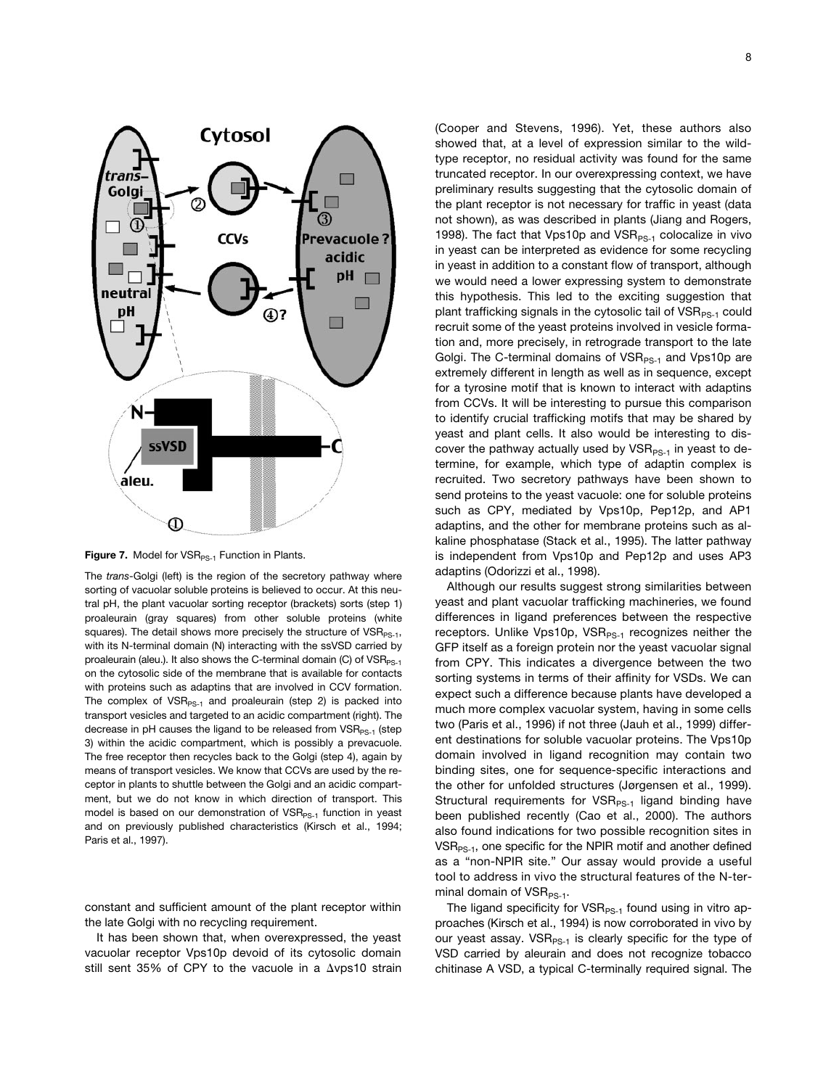

**Figure 7.** Model for VSR<sub>PS-1</sub> Function in Plants.

The *trans*-Golgi (left) is the region of the secretory pathway where sorting of vacuolar soluble proteins is believed to occur. At this neutral pH, the plant vacuolar sorting receptor (brackets) sorts (step 1) proaleurain (gray squares) from other soluble proteins (white squares). The detail shows more precisely the structure of  $VSR_{PS-1}$ , with its N-terminal domain (N) interacting with the ssVSD carried by proaleurain (aleu.). It also shows the C-terminal domain (C) of  $VSR_{PS-1}$ on the cytosolic side of the membrane that is available for contacts with proteins such as adaptins that are involved in CCV formation. The complex of  $VSR_{PS-1}$  and proaleurain (step 2) is packed into transport vesicles and targeted to an acidic compartment (right). The decrease in pH causes the ligand to be released from  $VSR_{PS-1}$  (step 3) within the acidic compartment, which is possibly a prevacuole. The free receptor then recycles back to the Golgi (step 4), again by means of transport vesicles. We know that CCVs are used by the receptor in plants to shuttle between the Golgi and an acidic compartment, but we do not know in which direction of transport. This model is based on our demonstration of  $VSR_{PS-1}$  function in yeast and on previously published characteristics (Kirsch et al., 1994; Paris et al., 1997).

constant and sufficient amount of the plant receptor within the late Golgi with no recycling requirement.

It has been shown that, when overexpressed, the yeast vacuolar receptor Vps10p devoid of its cytosolic domain still sent 35% of CPY to the vacuole in a  $\Delta v$ ps10 strain

(Cooper and Stevens, 1996). Yet, these authors also showed that, at a level of expression similar to the wildtype receptor, no residual activity was found for the same truncated receptor. In our overexpressing context, we have preliminary results suggesting that the cytosolic domain of the plant receptor is not necessary for traffic in yeast (data not shown), as was described in plants (Jiang and Rogers, 1998). The fact that Vps10p and  $VSR_{PS-1}$  colocalize in vivo in yeast can be interpreted as evidence for some recycling in yeast in addition to a constant flow of transport, although we would need a lower expressing system to demonstrate this hypothesis. This led to the exciting suggestion that plant trafficking signals in the cytosolic tail of  $VSR_{PS-1}$  could recruit some of the yeast proteins involved in vesicle formation and, more precisely, in retrograde transport to the late Golgi. The C-terminal domains of  $VSR_{PS-1}$  and  $Vps10p$  are extremely different in length as well as in sequence, except for a tyrosine motif that is known to interact with adaptins from CCVs. It will be interesting to pursue this comparison to identify crucial trafficking motifs that may be shared by yeast and plant cells. It also would be interesting to discover the pathway actually used by  $VSR_{PS-1}$  in yeast to determine, for example, which type of adaptin complex is recruited. Two secretory pathways have been shown to send proteins to the yeast vacuole: one for soluble proteins such as CPY, mediated by Vps10p, Pep12p, and AP1 adaptins, and the other for membrane proteins such as alkaline phosphatase (Stack et al., 1995). The latter pathway is independent from Vps10p and Pep12p and uses AP3 adaptins (Odorizzi et al., 1998).

Although our results suggest strong similarities between yeast and plant vacuolar trafficking machineries, we found differences in ligand preferences between the respective receptors. Unlike Vps10p, VS $R_{PS-1}$  recognizes neither the GFP itself as a foreign protein nor the yeast vacuolar signal from CPY. This indicates a divergence between the two sorting systems in terms of their affinity for VSDs. We can expect such a difference because plants have developed a much more complex vacuolar system, having in some cells two (Paris et al., 1996) if not three (Jauh et al., 1999) different destinations for soluble vacuolar proteins. The Vps10p domain involved in ligand recognition may contain two binding sites, one for sequence-specific interactions and the other for unfolded structures (Jørgensen et al., 1999). Structural requirements for  $VSR_{PS-1}$  ligand binding have been published recently (Cao et al., 2000). The authors also found indications for two possible recognition sites in  $VSR_{PS-1}$ , one specific for the NPIR motif and another defined as a "non-NPIR site." Our assay would provide a useful tool to address in vivo the structural features of the N-terminal domain of  $VSR_{PS-1}$ .

The ligand specificity for  $VSR_{PS-1}$  found using in vitro approaches (Kirsch et al., 1994) is now corroborated in vivo by our yeast assay.  $VSR_{PS-1}$  is clearly specific for the type of VSD carried by aleurain and does not recognize tobacco chitinase A VSD, a typical C-terminally required signal. The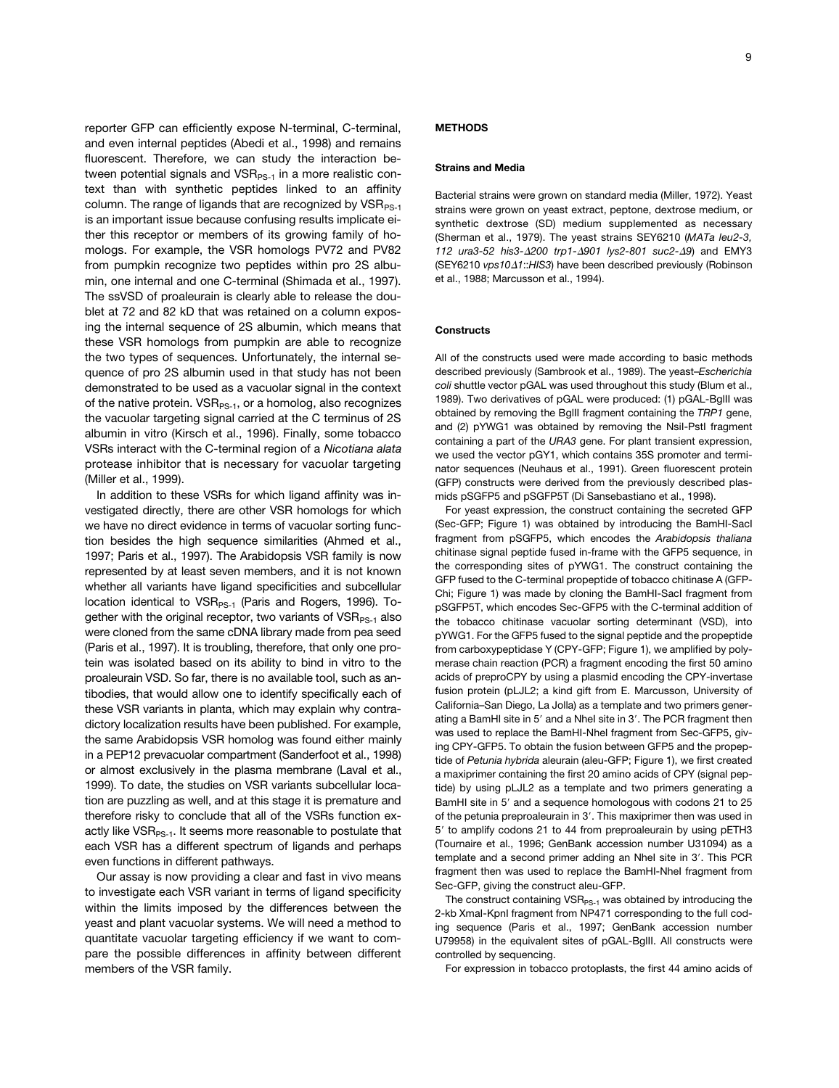reporter GFP can efficiently expose N-terminal, C-terminal, and even internal peptides (Abedi et al., 1998) and remains fluorescent. Therefore, we can study the interaction between potential signals and  $VSR_{PS-1}$  in a more realistic context than with synthetic peptides linked to an affinity column. The range of ligands that are recognized by  $VSR_{PS-1}$ is an important issue because confusing results implicate either this receptor or members of its growing family of homologs. For example, the VSR homologs PV72 and PV82 from pumpkin recognize two peptides within pro 2S albumin, one internal and one C-terminal (Shimada et al., 1997). The ssVSD of proaleurain is clearly able to release the doublet at 72 and 82 kD that was retained on a column exposing the internal sequence of 2S albumin, which means that these VSR homologs from pumpkin are able to recognize the two types of sequences. Unfortunately, the internal sequence of pro 2S albumin used in that study has not been demonstrated to be used as a vacuolar signal in the context of the native protein.  $VSR_{PS-1}$ , or a homolog, also recognizes the vacuolar targeting signal carried at the C terminus of 2S albumin in vitro (Kirsch et al., 1996). Finally, some tobacco VSRs interact with the C-terminal region of a *Nicotiana alata* protease inhibitor that is necessary for vacuolar targeting (Miller et al., 1999).

In addition to these VSRs for which ligand affinity was investigated directly, there are other VSR homologs for which we have no direct evidence in terms of vacuolar sorting function besides the high sequence similarities (Ahmed et al., 1997; Paris et al., 1997). The Arabidopsis VSR family is now represented by at least seven members, and it is not known whether all variants have ligand specificities and subcellular location identical to  $VSR_{PS-1}$  (Paris and Rogers, 1996). Together with the original receptor, two variants of  $VSR_{PS-1}$  also were cloned from the same cDNA library made from pea seed (Paris et al., 1997). It is troubling, therefore, that only one protein was isolated based on its ability to bind in vitro to the proaleurain VSD. So far, there is no available tool, such as antibodies, that would allow one to identify specifically each of these VSR variants in planta, which may explain why contradictory localization results have been published. For example, the same Arabidopsis VSR homolog was found either mainly in a PEP12 prevacuolar compartment (Sanderfoot et al., 1998) or almost exclusively in the plasma membrane (Laval et al., 1999). To date, the studies on VSR variants subcellular location are puzzling as well, and at this stage it is premature and therefore risky to conclude that all of the VSRs function exactly like  $VSR_{PS-1}$ . It seems more reasonable to postulate that each VSR has a different spectrum of ligands and perhaps even functions in different pathways.

Our assay is now providing a clear and fast in vivo means to investigate each VSR variant in terms of ligand specificity within the limits imposed by the differences between the yeast and plant vacuolar systems. We will need a method to quantitate vacuolar targeting efficiency if we want to compare the possible differences in affinity between different members of the VSR family.

## **METHODS**

#### **Strains and Media**

Bacterial strains were grown on standard media (Miller, 1972). Yeast strains were grown on yeast extract, peptone, dextrose medium, or synthetic dextrose (SD) medium supplemented as necessary (Sherman et al., 1979). The yeast strains SEY6210 (*MATa leu2-3, 112 ura3-52 his3-*D*200 trp1-*D*901 lys2-801 suc2-*D*9*) and EMY3 (SEY6210 *vps10* $\Delta$ *1*::*HIS3*) have been described previously (Robinson et al., 1988; Marcusson et al., 1994).

## **Constructs**

All of the constructs used were made according to basic methods described previously (Sambrook et al., 1989). The yeast–*Escherichia coli* shuttle vector pGAL was used throughout this study (Blum et al., 1989). Two derivatives of pGAL were produced: (1) pGAL-BglII was obtained by removing the BglII fragment containing the *TRP1* gene, and (2) pYWG1 was obtained by removing the NsiI-PstI fragment containing a part of the *URA3* gene. For plant transient expression, we used the vector pGY1, which contains 35S promoter and terminator sequences (Neuhaus et al., 1991). Green fluorescent protein (GFP) constructs were derived from the previously described plasmids pSGFP5 and pSGFP5T (Di Sansebastiano et al., 1998).

For yeast expression, the construct containing the secreted GFP (Sec-GFP; Figure 1) was obtained by introducing the BamHI-SacI fragment from pSGFP5, which encodes the *Arabidopsis thaliana* chitinase signal peptide fused in-frame with the GFP5 sequence, in the corresponding sites of pYWG1. The construct containing the GFP fused to the C-terminal propeptide of tobacco chitinase A (GFP-Chi; Figure 1) was made by cloning the BamHI-SacI fragment from pSGFP5T, which encodes Sec-GFP5 with the C-terminal addition of the tobacco chitinase vacuolar sorting determinant (VSD), into pYWG1. For the GFP5 fused to the signal peptide and the propeptide from carboxypeptidase Y (CPY-GFP; Figure 1), we amplified by polymerase chain reaction (PCR) a fragment encoding the first 50 amino acids of preproCPY by using a plasmid encoding the CPY-invertase fusion protein (pLJL2; a kind gift from E. Marcusson, University of California–San Diego, La Jolla) as a template and two primers generating a BamHI site in 5' and a NheI site in 3'. The PCR fragment then was used to replace the BamHI-NheI fragment from Sec-GFP5, giving CPY-GFP5. To obtain the fusion between GFP5 and the propeptide of *Petunia hybrida* aleurain (aleu-GFP; Figure 1), we first created a maxiprimer containing the first 20 amino acids of CPY (signal peptide) by using pLJL2 as a template and two primers generating a BamHI site in 5' and a sequence homologous with codons 21 to 25 of the petunia preproaleurain in 3'. This maxiprimer then was used in 5' to amplify codons 21 to 44 from preproaleurain by using pETH3 (Tournaire et al., 1996; GenBank accession number U31094) as a template and a second primer adding an Nhel site in 3'. This PCR fragment then was used to replace the BamHI-NheI fragment from Sec-GFP, giving the construct aleu-GFP.

The construct containing  $VSR_{PS-1}$  was obtained by introducing the 2-kb XmaI-KpnI fragment from NP471 corresponding to the full coding sequence (Paris et al., 1997; GenBank accession number U79958) in the equivalent sites of pGAL-BglII. All constructs were controlled by sequencing.

For expression in tobacco protoplasts, the first 44 amino acids of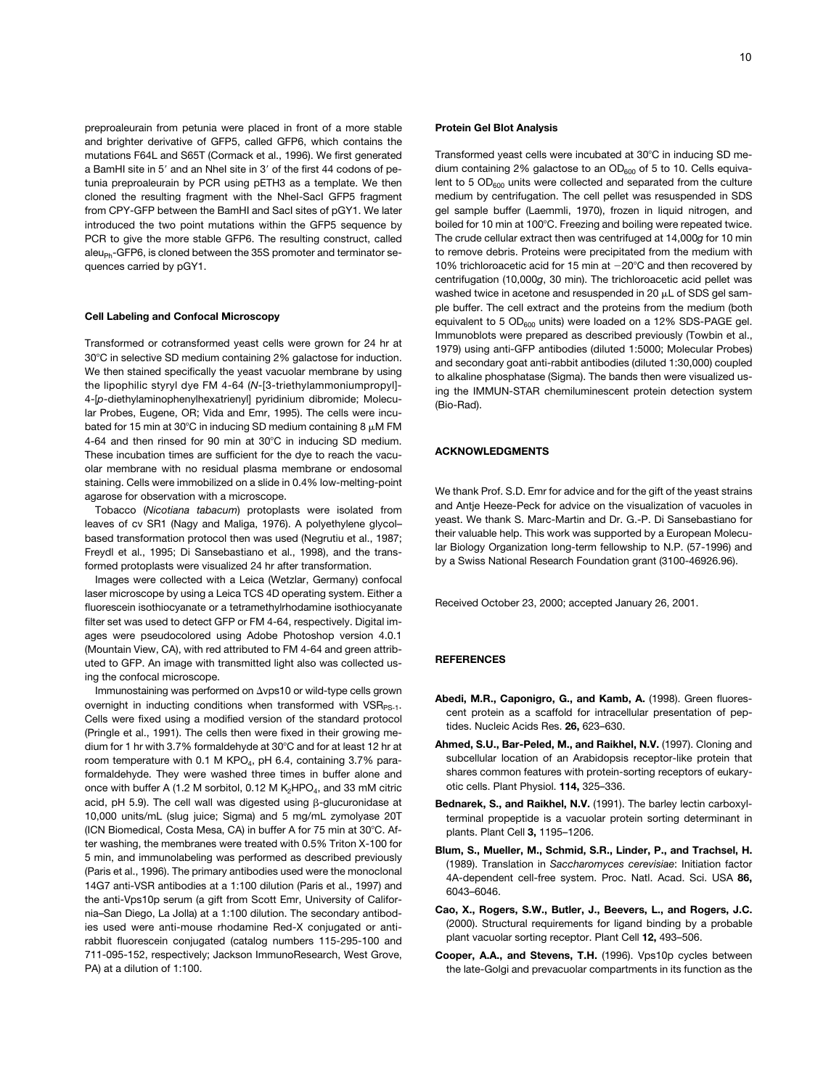preproaleurain from petunia were placed in front of a more stable and brighter derivative of GFP5, called GFP6, which contains the mutations F64L and S65T (Cormack et al., 1996). We first generated a BamHI site in 5' and an NheI site in 3' of the first 44 codons of petunia preproaleurain by PCR using pETH3 as a template. We then cloned the resulting fragment with the NheI-SacI GFP5 fragment from CPY-GFP between the BamHI and SacI sites of pGY1. We later introduced the two point mutations within the GFP5 sequence by PCR to give the more stable GFP6. The resulting construct, called  $aleu_{Ph}$ -GFP6, is cloned between the 35S promoter and terminator sequences carried by pGY1.

# **Cell Labeling and Confocal Microscopy**

Transformed or cotransformed yeast cells were grown for 24 hr at 30°C in selective SD medium containing 2% galactose for induction. We then stained specifically the yeast vacuolar membrane by using the lipophilic styryl dye FM 4-64 (*N*-[3-triethylammoniumpropyl]- 4-[*p*-diethylaminophenylhexatrienyl] pyridinium dibromide; Molecular Probes, Eugene, OR; Vida and Emr, 1995). The cells were incubated for 15 min at 30°C in inducing SD medium containing 8  $\mu$ M FM 4-64 and then rinsed for 90 min at 30°C in inducing SD medium. These incubation times are sufficient for the dye to reach the vacuolar membrane with no residual plasma membrane or endosomal staining. Cells were immobilized on a slide in 0.4% low-melting-point agarose for observation with a microscope.

Tobacco (*Nicotiana tabacum*) protoplasts were isolated from leaves of cv SR1 (Nagy and Maliga, 1976). A polyethylene glycol– based transformation protocol then was used (Negrutiu et al., 1987; Freydl et al., 1995; Di Sansebastiano et al., 1998), and the transformed protoplasts were visualized 24 hr after transformation.

Images were collected with a Leica (Wetzlar, Germany) confocal laser microscope by using a Leica TCS 4D operating system. Either a fluorescein isothiocyanate or a tetramethylrhodamine isothiocyanate filter set was used to detect GFP or FM 4-64, respectively. Digital images were pseudocolored using Adobe Photoshop version 4.0.1 (Mountain View, CA), with red attributed to FM 4-64 and green attributed to GFP. An image with transmitted light also was collected using the confocal microscope.

Immunostaining was performed on  $\Delta v$ ps10 or wild-type cells grown overnight in inducting conditions when transformed with  $VSR_{PS-1}$ . Cells were fixed using a modified version of the standard protocol (Pringle et al., 1991). The cells then were fixed in their growing medium for 1 hr with 3.7% formaldehyde at 30°C and for at least 12 hr at room temperature with 0.1 M KPO<sub>4</sub>, pH 6.4, containing 3.7% paraformaldehyde. They were washed three times in buffer alone and once with buffer A (1.2 M sorbitol, 0.12 M  $K_2HPO_4$ , and 33 mM citric acid, pH 5.9). The cell wall was digested using  $\beta$ -glucuronidase at 10,000 units/mL (slug juice; Sigma) and 5 mg/mL zymolyase 20T (ICN Biomedical, Costa Mesa, CA) in buffer A for 75 min at 30°C. After washing, the membranes were treated with 0.5% Triton X-100 for 5 min, and immunolabeling was performed as described previously (Paris et al., 1996). The primary antibodies used were the monoclonal 14G7 anti-VSR antibodies at a 1:100 dilution (Paris et al., 1997) and the anti-Vps10p serum (a gift from Scott Emr, University of California–San Diego, La Jolla) at a 1:100 dilution. The secondary antibodies used were anti-mouse rhodamine Red-X conjugated or antirabbit fluorescein conjugated (catalog numbers 115-295-100 and 711-095-152, respectively; Jackson ImmunoResearch, West Grove, PA) at a dilution of 1:100.

#### **Protein Gel Blot Analysis**

Transformed yeast cells were incubated at 30°C in inducing SD medium containing 2% galactose to an  $OD<sub>600</sub>$  of 5 to 10. Cells equivalent to 5  $OD<sub>600</sub>$  units were collected and separated from the culture medium by centrifugation. The cell pellet was resuspended in SDS gel sample buffer (Laemmli, 1970), frozen in liquid nitrogen, and boiled for 10 min at 100°C. Freezing and boiling were repeated twice. The crude cellular extract then was centrifuged at 14,000*g* for 10 min to remove debris. Proteins were precipitated from the medium with 10% trichloroacetic acid for 15 min at  $-20^{\circ}$ C and then recovered by centrifugation (10,000*g*, 30 min). The trichloroacetic acid pellet was washed twice in acetone and resuspended in 20  $\mu$ L of SDS gel sample buffer. The cell extract and the proteins from the medium (both equivalent to 5 OD<sub>600</sub> units) were loaded on a 12% SDS-PAGE gel. Immunoblots were prepared as described previously (Towbin et al., 1979) using anti-GFP antibodies (diluted 1:5000; Molecular Probes) and secondary goat anti-rabbit antibodies (diluted 1:30,000) coupled to alkaline phosphatase (Sigma). The bands then were visualized using the IMMUN-STAR chemiluminescent protein detection system (Bio-Rad).

#### **ACKNOWLEDGMENTS**

We thank Prof. S.D. Emr for advice and for the gift of the yeast strains and Antje Heeze-Peck for advice on the visualization of vacuoles in yeast. We thank S. Marc-Martin and Dr. G.-P. Di Sansebastiano for their valuable help. This work was supported by a European Molecular Biology Organization long-term fellowship to N.P. (57-1996) and by a Swiss National Research Foundation grant (3100-46926.96).

Received October 23, 2000; accepted January 26, 2001.

#### **REFERENCES**

- **Abedi, M.R., Caponigro, G., and Kamb, A.** (1998). Green fluorescent protein as a scaffold for intracellular presentation of peptides. Nucleic Acids Res. **26,** 623–630.
- **Ahmed, S.U., Bar-Peled, M., and Raikhel, N.V.** (1997). Cloning and subcellular location of an Arabidopsis receptor-like protein that shares common features with protein-sorting receptors of eukaryotic cells. Plant Physiol. **114,** 325–336.
- **Bednarek, S., and Raikhel, N.V.** (1991). The barley lectin carboxylterminal propeptide is a vacuolar protein sorting determinant in plants. Plant Cell **3,** 1195–1206.
- **Blum, S., Mueller, M., Schmid, S.R., Linder, P., and Trachsel, H.** (1989). Translation in *Saccharomyces cerevisiae*: Initiation factor 4A-dependent cell-free system. Proc. Natl. Acad. Sci. USA **86,** 6043–6046.
- **Cao, X., Rogers, S.W., Butler, J., Beevers, L., and Rogers, J.C.** (2000). Structural requirements for ligand binding by a probable plant vacuolar sorting receptor. Plant Cell **12,** 493–506.
- **Cooper, A.A., and Stevens, T.H.** (1996). Vps10p cycles between the late-Golgi and prevacuolar compartments in its function as the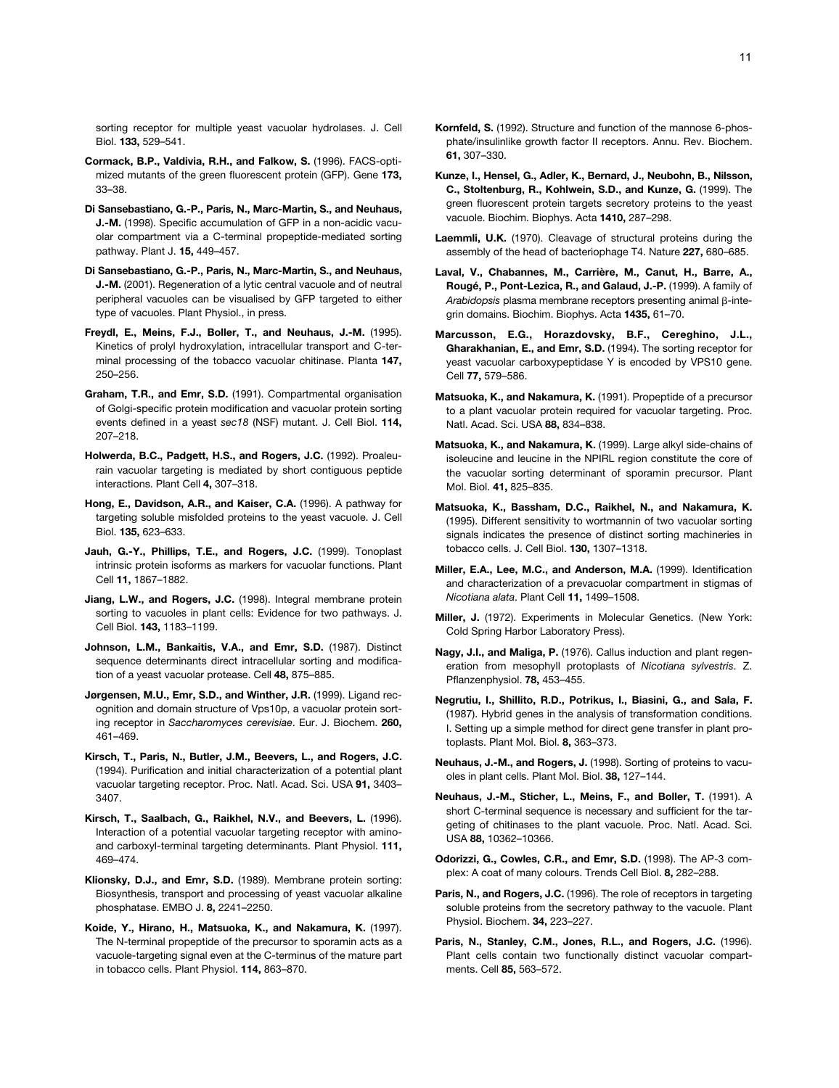sorting receptor for multiple yeast vacuolar hydrolases. J. Cell Biol. **133,** 529–541.

- **Cormack, B.P., Valdivia, R.H., and Falkow, S.** (1996). FACS-optimized mutants of the green fluorescent protein (GFP). Gene **173,** 33–38.
- **Di Sansebastiano, G.-P., Paris, N., Marc-Martin, S., and Neuhaus, J.-M.** (1998). Specific accumulation of GFP in a non-acidic vacuolar compartment via a C-terminal propeptide-mediated sorting pathway. Plant J. **15,** 449–457.
- **Di Sansebastiano, G.-P., Paris, N., Marc-Martin, S., and Neuhaus, J.-M.** (2001). Regeneration of a lytic central vacuole and of neutral peripheral vacuoles can be visualised by GFP targeted to either type of vacuoles. Plant Physiol., in press.
- **Freydl, E., Meins, F.J., Boller, T., and Neuhaus, J.-M.** (1995). Kinetics of prolyl hydroxylation, intracellular transport and C-terminal processing of the tobacco vacuolar chitinase. Planta **147,** 250–256.
- **Graham, T.R., and Emr, S.D.** (1991). Compartmental organisation of Golgi-specific protein modification and vacuolar protein sorting events defined in a yeast *sec18* (NSF) mutant. J. Cell Biol. **114,** 207–218.
- **Holwerda, B.C., Padgett, H.S., and Rogers, J.C.** (1992). Proaleurain vacuolar targeting is mediated by short contiguous peptide interactions. Plant Cell **4,** 307–318.
- **Hong, E., Davidson, A.R., and Kaiser, C.A.** (1996). A pathway for targeting soluble misfolded proteins to the yeast vacuole. J. Cell Biol. **135,** 623–633.
- **Jauh, G.-Y., Phillips, T.E., and Rogers, J.C.** (1999). Tonoplast intrinsic protein isoforms as markers for vacuolar functions. Plant Cell **11,** 1867–1882.
- **Jiang, L.W., and Rogers, J.C.** (1998). Integral membrane protein sorting to vacuoles in plant cells: Evidence for two pathways. J. Cell Biol. **143,** 1183–1199.
- **Johnson, L.M., Bankaitis, V.A., and Emr, S.D.** (1987). Distinct sequence determinants direct intracellular sorting and modification of a yeast vacuolar protease. Cell **48,** 875–885.
- **Jørgensen, M.U., Emr, S.D., and Winther, J.R.** (1999). Ligand recognition and domain structure of Vps10p, a vacuolar protein sorting receptor in *Saccharomyces cerevisiae*. Eur. J. Biochem. **260,** 461–469.
- **Kirsch, T., Paris, N., Butler, J.M., Beevers, L., and Rogers, J.C.** (1994). Purification and initial characterization of a potential plant vacuolar targeting receptor. Proc. Natl. Acad. Sci. USA **91,** 3403– 3407.
- **Kirsch, T., Saalbach, G., Raikhel, N.V., and Beevers, L.** (1996). Interaction of a potential vacuolar targeting receptor with aminoand carboxyl-terminal targeting determinants. Plant Physiol. **111,** 469–474.
- **Klionsky, D.J., and Emr, S.D.** (1989). Membrane protein sorting: Biosynthesis, transport and processing of yeast vacuolar alkaline phosphatase. EMBO J. **8,** 2241–2250.
- **Koide, Y., Hirano, H., Matsuoka, K., and Nakamura, K.** (1997). The N-terminal propeptide of the precursor to sporamin acts as a vacuole-targeting signal even at the C-terminus of the mature part in tobacco cells. Plant Physiol. **114,** 863–870.
- **Kornfeld, S.** (1992). Structure and function of the mannose 6-phosphate/insulinlike growth factor II receptors. Annu. Rev. Biochem. **61,** 307–330.
- **Kunze, I., Hensel, G., Adler, K., Bernard, J., Neubohn, B., Nilsson, C., Stoltenburg, R., Kohlwein, S.D., and Kunze, G.** (1999). The green fluorescent protein targets secretory proteins to the yeast vacuole. Biochim. Biophys. Acta **1410,** 287–298.
- **Laemmli, U.K.** (1970). Cleavage of structural proteins during the assembly of the head of bacteriophage T4. Nature **227,** 680–685.
- **Laval, V., Chabannes, M., Carrière, M., Canut, H., Barre, A., Rougé, P., Pont-Lezica, R., and Galaud, J.-P.** (1999). A family of Arabidopsis plasma membrane receptors presenting animal  $\beta$ -integrin domains. Biochim. Biophys. Acta **1435,** 61–70.
- **Marcusson, E.G., Horazdovsky, B.F., Cereghino, J.L., Gharakhanian, E., and Emr, S.D.** (1994). The sorting receptor for yeast vacuolar carboxypeptidase Y is encoded by VPS10 gene. Cell **77,** 579–586.
- **Matsuoka, K., and Nakamura, K.** (1991). Propeptide of a precursor to a plant vacuolar protein required for vacuolar targeting. Proc. Natl. Acad. Sci. USA **88,** 834–838.
- **Matsuoka, K., and Nakamura, K.** (1999). Large alkyl side-chains of isoleucine and leucine in the NPIRL region constitute the core of the vacuolar sorting determinant of sporamin precursor. Plant Mol. Biol. **41,** 825–835.
- **Matsuoka, K., Bassham, D.C., Raikhel, N., and Nakamura, K.** (1995). Different sensitivity to wortmannin of two vacuolar sorting signals indicates the presence of distinct sorting machineries in tobacco cells. J. Cell Biol. **130,** 1307–1318.
- **Miller, E.A., Lee, M.C., and Anderson, M.A.** (1999). Identification and characterization of a prevacuolar compartment in stigmas of *Nicotiana alata*. Plant Cell **11,** 1499–1508.
- **Miller, J.** (1972). Experiments in Molecular Genetics. (New York: Cold Spring Harbor Laboratory Press).
- **Nagy, J.I., and Maliga, P.** (1976). Callus induction and plant regeneration from mesophyll protoplasts of *Nicotiana sylvestris*. Z. Pflanzenphysiol. **78,** 453–455.
- **Negrutiu, I., Shillito, R.D., Potrikus, I., Biasini, G., and Sala, F.** (1987). Hybrid genes in the analysis of transformation conditions. I. Setting up a simple method for direct gene transfer in plant protoplasts. Plant Mol. Biol. **8,** 363–373.
- **Neuhaus, J.-M., and Rogers, J.** (1998). Sorting of proteins to vacuoles in plant cells. Plant Mol. Biol. **38,** 127–144.
- **Neuhaus, J.-M., Sticher, L., Meins, F., and Boller, T.** (1991). A short C-terminal sequence is necessary and sufficient for the targeting of chitinases to the plant vacuole. Proc. Natl. Acad. Sci. USA **88,** 10362–10366.
- **Odorizzi, G., Cowles, C.R., and Emr, S.D.** (1998). The AP-3 complex: A coat of many colours. Trends Cell Biol. **8,** 282–288.
- Paris, N., and Rogers, J.C. (1996). The role of receptors in targeting soluble proteins from the secretory pathway to the vacuole. Plant Physiol. Biochem. **34,** 223–227.
- **Paris, N., Stanley, C.M., Jones, R.L., and Rogers, J.C.** (1996). Plant cells contain two functionally distinct vacuolar compartments. Cell **85,** 563–572.